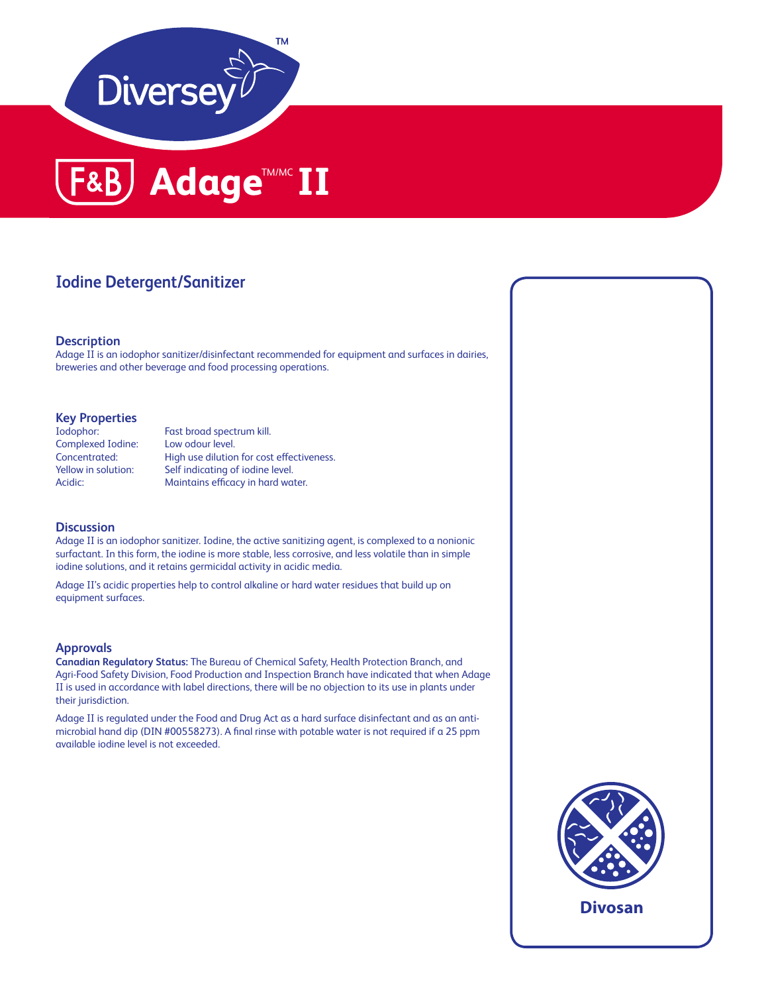



### **Iodine Detergent/Sanitizer**

#### **Description**

Adage II is an iodophor sanitizer/disinfectant recommended for equipment and surfaces in dairies, breweries and other beverage and food processing operations.

# **Key Properties**

Complexed Iodine: Low odour level.

Fast broad spectrum kill. Concentrated: High use dilution for cost effectiveness. Yellow in solution: Self indicating of iodine level. Acidic: Maintains efficacy in hard water.

#### **Discussion**

Adage II is an iodophor sanitizer. Iodine, the active sanitizing agent, is complexed to a nonionic surfactant. In this form, the iodine is more stable, less corrosive, and less volatile than in simple iodine solutions, and it retains germicidal activity in acidic media.

Adage II's acidic properties help to control alkaline or hard water residues that build up on equipment surfaces.

#### **Approvals**

**Canadian Regulatory Status:** The Bureau of Chemical Safety, Health Protection Branch, and Agri-Food Safety Division, Food Production and Inspection Branch have indicated that when Adage II is used in accordance with label directions, there will be no objection to its use in plants under their jurisdiction.

Adage II is regulated under the Food and Drug Act as a hard surface disinfectant and as an antimicrobial hand dip (DIN #00558273). A final rinse with potable water is not required if a 25 ppm available iodine level is not exceeded.



**Divosan**